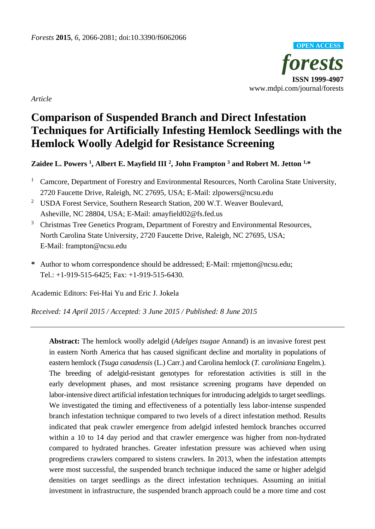

*Article*

# **Comparison of Suspended Branch and Direct Infestation Techniques for Artificially Infesting Hemlock Seedlings with the Hemlock Woolly Adelgid for Resistance Screening**

## **Zaidee L. Powers 1, Albert E. Mayfield III 2, John Frampton <sup>3</sup> and Robert M. Jetton 1,\***

- <sup>1</sup> Camcore, Department of Forestry and Environmental Resources, North Carolina State University, 2720 Faucette Drive, Raleigh, NC 27695, USA; E-Mail: zlpowers@ncsu.edu
- <sup>2</sup> USDA Forest Service, Southern Research Station, 200 W.T. Weaver Boulevard, Asheville, NC 28804, USA; E-Mail: amayfield02@fs.fed.us
- <sup>3</sup> Christmas Tree Genetics Program, Department of Forestry and Environmental Resources, North Carolina State University, 2720 Faucette Drive, Raleigh, NC 27695, USA; E-Mail: frampton@ncsu.edu
- **\*** Author to whom correspondence should be addressed; E-Mail: rmjetton@ncsu.edu; Tel.: +1-919-515-6425; Fax: +1-919-515-6430.

Academic Editors: Fei-Hai Yu and Eric J. Jokela

*Received: 14 April 2015 / Accepted: 3 June 2015 / Published: 8 June 2015*

**Abstract:** The hemlock woolly adelgid (*Adelges tsugae* Annand) is an invasive forest pest in eastern North America that has caused significant decline and mortality in populations of eastern hemlock (*Tsuga canadensis* (L.) Carr.) and Carolina hemlock (*T. caroliniana* Engelm.). The breeding of adelgid-resistant genotypes for reforestation activities is still in the early development phases, and most resistance screening programs have depended on labor-intensive direct artificial infestation techniques for introducing adelgids to target seedlings. We investigated the timing and effectiveness of a potentially less labor-intense suspended branch infestation technique compared to two levels of a direct infestation method. Results indicated that peak crawler emergence from adelgid infested hemlock branches occurred within a 10 to 14 day period and that crawler emergence was higher from non-hydrated compared to hydrated branches. Greater infestation pressure was achieved when using progrediens crawlers compared to sistens crawlers. In 2013, when the infestation attempts were most successful, the suspended branch technique induced the same or higher adelgid densities on target seedlings as the direct infestation techniques. Assuming an initial investment in infrastructure, the suspended branch approach could be a more time and cost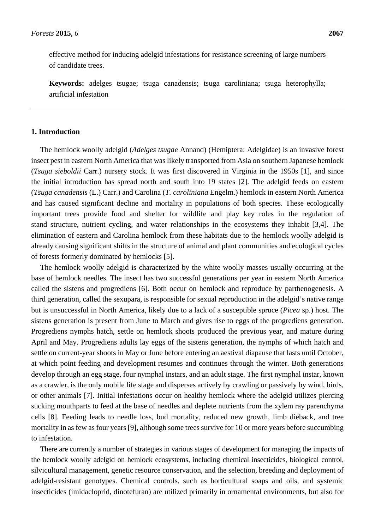effective method for inducing adelgid infestations for resistance screening of large numbers of candidate trees.

**Keywords:** adelges tsugae; tsuga canadensis; tsuga caroliniana; tsuga heterophylla; artificial infestation

## **1. Introduction**

The hemlock woolly adelgid (*Adelges tsugae* Annand) (Hemiptera: Adelgidae) is an invasive forest insect pest in eastern North America that was likely transported from Asia on southern Japanese hemlock (*Tsuga sieboldii* Carr.) nursery stock. It was first discovered in Virginia in the 1950s [1], and since the initial introduction has spread north and south into 19 states [2]. The adelgid feeds on eastern (*Tsuga canadensis* (L.) Carr.) and Carolina (*T. caroliniana* Engelm.) hemlock in eastern North America and has caused significant decline and mortality in populations of both species. These ecologically important trees provide food and shelter for wildlife and play key roles in the regulation of stand structure, nutrient cycling, and water relationships in the ecosystems they inhabit [3,4]. The elimination of eastern and Carolina hemlock from these habitats due to the hemlock woolly adelgid is already causing significant shifts in the structure of animal and plant communities and ecological cycles of forests formerly dominated by hemlocks [5].

The hemlock woolly adelgid is characterized by the white woolly masses usually occurring at the base of hemlock needles. The insect has two successful generations per year in eastern North America called the sistens and progrediens [6]. Both occur on hemlock and reproduce by parthenogenesis. A third generation, called the sexupara, is responsible for sexual reproduction in the adelgid's native range but is unsuccessful in North America, likely due to a lack of a susceptible spruce (*Picea* sp.) host. The sistens generation is present from June to March and gives rise to eggs of the progrediens generation. Progrediens nymphs hatch, settle on hemlock shoots produced the previous year, and mature during April and May. Progrediens adults lay eggs of the sistens generation, the nymphs of which hatch and settle on current-year shoots in May or June before entering an aestival diapause that lasts until October, at which point feeding and development resumes and continues through the winter. Both generations develop through an egg stage, four nymphal instars, and an adult stage. The first nymphal instar, known as a crawler, is the only mobile life stage and disperses actively by crawling or passively by wind, birds, or other animals [7]. Initial infestations occur on healthy hemlock where the adelgid utilizes piercing sucking mouthparts to feed at the base of needles and deplete nutrients from the xylem ray parenchyma cells [8]. Feeding leads to needle loss, bud mortality, reduced new growth, limb dieback, and tree mortality in as few as four years [9], although some trees survive for 10 or more years before succumbing to infestation.

There are currently a number of strategies in various stages of development for managing the impacts of the hemlock woolly adelgid on hemlock ecosystems, including chemical insecticides, biological control, silvicultural management, genetic resource conservation, and the selection, breeding and deployment of adelgid-resistant genotypes. Chemical controls, such as horticultural soaps and oils, and systemic insecticides (imidacloprid, dinotefuran) are utilized primarily in ornamental environments, but also for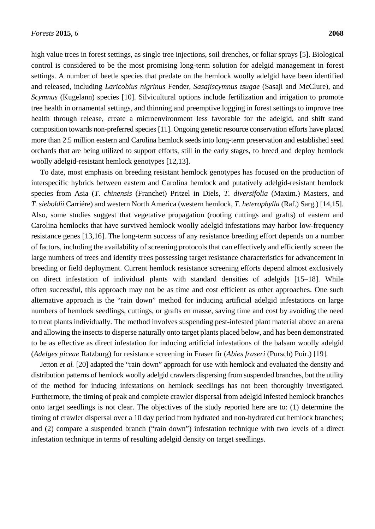high value trees in forest settings, as single tree injections, soil drenches, or foliar sprays [5]. Biological control is considered to be the most promising long-term solution for adelgid management in forest settings. A number of beetle species that predate on the hemlock woolly adelgid have been identified and released, including *Laricobius nigrinus* Fender, *Sasajiscymnus tsugae* (Sasaji and McClure), and *Scymnus* (Kugelann) species [10]. Silvicultural options include fertilization and irrigation to promote tree health in ornamental settings, and thinning and preemptive logging in forest settings to improve tree health through release, create a microenvironment less favorable for the adelgid, and shift stand composition towards non-preferred species [11]. Ongoing genetic resource conservation efforts have placed more than 2.5 million eastern and Carolina hemlock seeds into long-term preservation and established seed orchards that are being utilized to support efforts, still in the early stages, to breed and deploy hemlock woolly adelgid-resistant hemlock genotypes [12,13].

To date, most emphasis on breeding resistant hemlock genotypes has focused on the production of interspecific hybrids between eastern and Carolina hemlock and putatively adelgid-resistant hemlock species from Asia (*T. chinensis* (Franchet) Pritzel in Diels, *T. diversifolia* (Maxim.) Masters, and *T. sieboldii* Carriére) and western North America (western hemlock, *T. heterophylla* (Raf.) Sarg*.*) [14,15]. Also, some studies suggest that vegetative propagation (rooting cuttings and grafts) of eastern and Carolina hemlocks that have survived hemlock woolly adelgid infestations may harbor low-frequency resistance genes [13,16]. The long-term success of any resistance breeding effort depends on a number of factors, including the availability of screening protocols that can effectively and efficiently screen the large numbers of trees and identify trees possessing target resistance characteristics for advancement in breeding or field deployment. Current hemlock resistance screening efforts depend almost exclusively on direct infestation of individual plants with standard densities of adelgids [15–18]. While often successful, this approach may not be as time and cost efficient as other approaches. One such alternative approach is the "rain down" method for inducing artificial adelgid infestations on large numbers of hemlock seedlings, cuttings, or grafts en masse, saving time and cost by avoiding the need to treat plants individually. The method involves suspending pest-infested plant material above an arena and allowing the insects to disperse naturally onto target plants placed below, and has been demonstrated to be as effective as direct infestation for inducing artificial infestations of the balsam woolly adelgid (*Adelges piceae* Ratzburg) for resistance screening in Fraser fir (*Abies fraseri* (Pursch) Poir.) [19].

Jetton *et al.* [20] adapted the "rain down" approach for use with hemlock and evaluated the density and distribution patterns of hemlock woolly adelgid crawlers dispersing from suspended branches, but the utility of the method for inducing infestations on hemlock seedlings has not been thoroughly investigated. Furthermore, the timing of peak and complete crawler dispersal from adelgid infested hemlock branches onto target seedlings is not clear. The objectives of the study reported here are to: (1) determine the timing of crawler dispersal over a 10 day period from hydrated and non-hydrated cut hemlock branches; and (2) compare a suspended branch ("rain down") infestation technique with two levels of a direct infestation technique in terms of resulting adelgid density on target seedlings.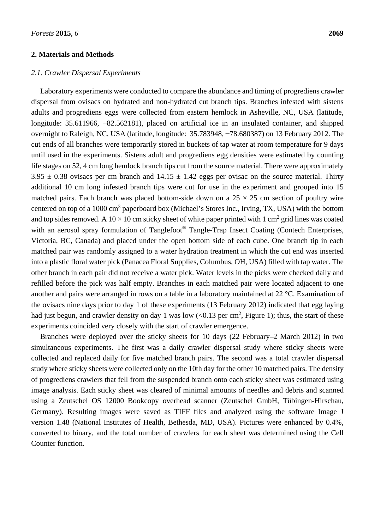#### **2. Materials and Methods**

#### *2.1. Crawler Dispersal Experiments*

Laboratory experiments were conducted to compare the abundance and timing of progrediens crawler dispersal from ovisacs on hydrated and non-hydrated cut branch tips. Branches infested with sistens adults and progrediens eggs were collected from eastern hemlock in Asheville, NC, USA (latitude, longitude: 35.611966, −82.562181), placed on artificial ice in an insulated container, and shipped overnight to Raleigh, NC, USA (latitude, longitude: 35.783948, −78.680387) on 13 February 2012. The cut ends of all branches were temporarily stored in buckets of tap water at room temperature for 9 days until used in the experiments. Sistens adult and progrediens egg densities were estimated by counting life stages on 52, 4 cm long hemlock branch tips cut from the source material. There were approximately  $3.95 \pm 0.38$  ovisacs per cm branch and  $14.15 \pm 1.42$  eggs per ovisac on the source material. Thirty additional 10 cm long infested branch tips were cut for use in the experiment and grouped into 15 matched pairs. Each branch was placed bottom-side down on a  $25 \times 25$  cm section of poultry wire centered on top of a 1000 cm<sup>3</sup> paperboard box (Michael's Stores Inc., Irving, TX, USA) with the bottom and top sides removed. A  $10 \times 10$  cm sticky sheet of white paper printed with 1 cm<sup>2</sup> grid lines was coated with an aerosol spray formulation of Tanglefoot<sup>®</sup> Tangle-Trap Insect Coating (Contech Enterprises, Victoria, BC, Canada) and placed under the open bottom side of each cube. One branch tip in each matched pair was randomly assigned to a water hydration treatment in which the cut end was inserted into a plastic floral water pick (Panacea Floral Supplies, Columbus, OH, USA) filled with tap water. The other branch in each pair did not receive a water pick. Water levels in the picks were checked daily and refilled before the pick was half empty. Branches in each matched pair were located adjacent to one another and pairs were arranged in rows on a table in a laboratory maintained at 22 °C. Examination of the ovisacs nine days prior to day 1 of these experiments (13 February 2012) indicated that egg laying had just begun, and crawler density on day 1 was low  $(<0.13$  per cm<sup>2</sup>, Figure 1); thus, the start of these experiments coincided very closely with the start of crawler emergence.

Branches were deployed over the sticky sheets for 10 days (22 February–2 March 2012) in two simultaneous experiments. The first was a daily crawler dispersal study where sticky sheets were collected and replaced daily for five matched branch pairs. The second was a total crawler dispersal study where sticky sheets were collected only on the 10th day for the other 10 matched pairs. The density of progrediens crawlers that fell from the suspended branch onto each sticky sheet was estimated using image analysis. Each sticky sheet was cleared of minimal amounts of needles and debris and scanned using a Zeutschel OS 12000 Bookcopy overhead scanner (Zeutschel GmbH, Tübingen-Hirschau, Germany). Resulting images were saved as TIFF files and analyzed using the software Image J version 1.48 (National Institutes of Health, Bethesda, MD, USA). Pictures were enhanced by 0.4%, converted to binary, and the total number of crawlers for each sheet was determined using the Cell Counter function.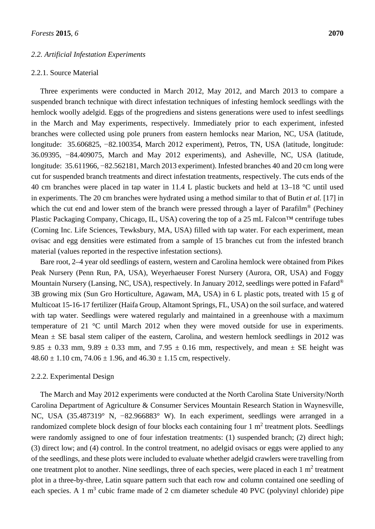#### *2.2. Artificial Infestation Experiments*

#### 2.2.1. Source Material

Three experiments were conducted in March 2012, May 2012, and March 2013 to compare a suspended branch technique with direct infestation techniques of infesting hemlock seedlings with the hemlock woolly adelgid. Eggs of the progrediens and sistens generations were used to infest seedlings in the March and May experiments, respectively. Immediately prior to each experiment, infested branches were collected using pole pruners from eastern hemlocks near Marion, NC, USA (latitude, longitude: 35.606825, −82.100354, March 2012 experiment), Petros, TN, USA (latitude, longitude: 36.09395, −84.409075, March and May 2012 experiments), and Asheville, NC, USA (latitude, longitude: 35.611966, −82.562181, March 2013 experiment). Infested branches 40 and 20 cm long were cut for suspended branch treatments and direct infestation treatments, respectively. The cuts ends of the 40 cm branches were placed in tap water in 11.4 L plastic buckets and held at 13–18 °C until used in experiments. The 20 cm branches were hydrated using a method similar to that of Butin *et al.* [17] in which the cut end and lower stem of the branch were pressed through a layer of Parafilm<sup>®</sup> (Pechiney Plastic Packaging Company, Chicago, IL, USA) covering the top of a 25 mL Falcon™ centrifuge tubes (Corning Inc. Life Sciences, Tewksbury, MA, USA) filled with tap water. For each experiment, mean ovisac and egg densities were estimated from a sample of 15 branches cut from the infested branch material (values reported in the respective infestation sections).

Bare root, 2–4 year old seedlings of eastern, western and Carolina hemlock were obtained from Pikes Peak Nursery (Penn Run, PA, USA), Weyerhaeuser Forest Nursery (Aurora, OR, USA) and Foggy Mountain Nursery (Lansing, NC, USA), respectively. In January 2012, seedlings were potted in Fafard® 3B growing mix (Sun Gro Horticulture, Agawam, MA, USA) in 6 L plastic pots, treated with 15 g of Multicoat 15-16-17 fertilizer (Haifa Group, Altamont Springs, FL, USA) on the soil surface, and watered with tap water. Seedlings were watered regularly and maintained in a greenhouse with a maximum temperature of 21 °C until March 2012 when they were moved outside for use in experiments. Mean  $\pm$  SE basal stem caliper of the eastern, Carolina, and western hemlock seedlings in 2012 was 9.85  $\pm$  0.33 mm, 9.89  $\pm$  0.33 mm, and 7.95  $\pm$  0.16 mm, respectively, and mean  $\pm$  SE height was  $48.60 \pm 1.10$  cm,  $74.06 \pm 1.96$ , and  $46.30 \pm 1.15$  cm, respectively.

#### 2.2.2. Experimental Design

The March and May 2012 experiments were conducted at the North Carolina State University/North Carolina Department of Agriculture & Consumer Services Mountain Research Station in Waynesville, NC, USA (35.487319° N, −82.966883° W). In each experiment, seedlings were arranged in a randomized complete block design of four blocks each containing four 1 m<sup>2</sup> treatment plots. Seedlings were randomly assigned to one of four infestation treatments: (1) suspended branch; (2) direct high; (3) direct low; and (4) control. In the control treatment, no adelgid ovisacs or eggs were applied to any of the seedlings, and these plots were included to evaluate whether adelgid crawlers were travelling from one treatment plot to another. Nine seedlings, three of each species, were placed in each  $1 \text{ m}^2$  treatment plot in a three-by-three, Latin square pattern such that each row and column contained one seedling of each species. A 1  $m<sup>3</sup>$  cubic frame made of 2 cm diameter schedule 40 PVC (polyvinyl chloride) pipe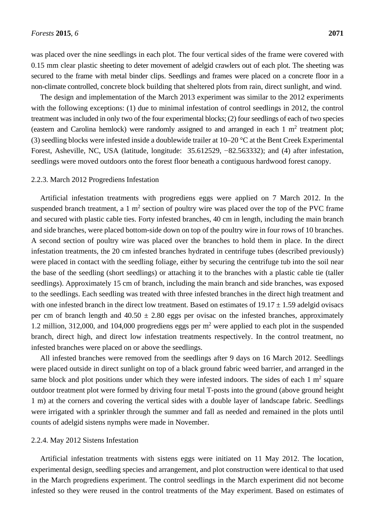was placed over the nine seedlings in each plot. The four vertical sides of the frame were covered with 0.15 mm clear plastic sheeting to deter movement of adelgid crawlers out of each plot. The sheeting was secured to the frame with metal binder clips. Seedlings and frames were placed on a concrete floor in a non-climate controlled, concrete block building that sheltered plots from rain, direct sunlight, and wind.

The design and implementation of the March 2013 experiment was similar to the 2012 experiments with the following exceptions: (1) due to minimal infestation of control seedlings in 2012, the control treatment was included in only two of the four experimental blocks; (2) four seedlings of each of two species (eastern and Carolina hemlock) were randomly assigned to and arranged in each  $1 \text{ m}^2$  treatment plot; (3) seedling blocks were infested inside a doublewide trailer at 10–20 °C at the Bent Creek Experimental Forest, Asheville, NC, USA (latitude, longitude: 35.612529, −82.563332); and (4) after infestation, seedlings were moved outdoors onto the forest floor beneath a contiguous hardwood forest canopy.

#### 2.2.3. March 2012 Progrediens Infestation

Artificial infestation treatments with progrediens eggs were applied on 7 March 2012. In the suspended branch treatment, a 1  $m<sup>2</sup>$  section of poultry wire was placed over the top of the PVC frame and secured with plastic cable ties. Forty infested branches, 40 cm in length, including the main branch and side branches, were placed bottom-side down on top of the poultry wire in four rows of 10 branches. A second section of poultry wire was placed over the branches to hold them in place. In the direct infestation treatments, the 20 cm infested branches hydrated in centrifuge tubes (described previously) were placed in contact with the seedling foliage, either by securing the centrifuge tub into the soil near the base of the seedling (short seedlings) or attaching it to the branches with a plastic cable tie (taller seedlings). Approximately 15 cm of branch, including the main branch and side branches, was exposed to the seedlings. Each seedling was treated with three infested branches in the direct high treatment and with one infested branch in the direct low treatment. Based on estimates of  $19.17 \pm 1.59$  adelgid ovisacs per cm of branch length and  $40.50 \pm 2.80$  eggs per ovisac on the infested branches, approximately 1.2 million, 312,000, and 104,000 progrediens eggs per  $m<sup>2</sup>$  were applied to each plot in the suspended branch, direct high, and direct low infestation treatments respectively. In the control treatment, no infested branches were placed on or above the seedlings.

All infested branches were removed from the seedlings after 9 days on 16 March 2012. Seedlings were placed outside in direct sunlight on top of a black ground fabric weed barrier, and arranged in the same block and plot positions under which they were infested indoors. The sides of each  $1 \text{ m}^2$  square outdoor treatment plot were formed by driving four metal T-posts into the ground (above ground height 1 m) at the corners and covering the vertical sides with a double layer of landscape fabric. Seedlings were irrigated with a sprinkler through the summer and fall as needed and remained in the plots until counts of adelgid sistens nymphs were made in November.

#### 2.2.4. May 2012 Sistens Infestation

Artificial infestation treatments with sistens eggs were initiated on 11 May 2012. The location, experimental design, seedling species and arrangement, and plot construction were identical to that used in the March progrediens experiment. The control seedlings in the March experiment did not become infested so they were reused in the control treatments of the May experiment. Based on estimates of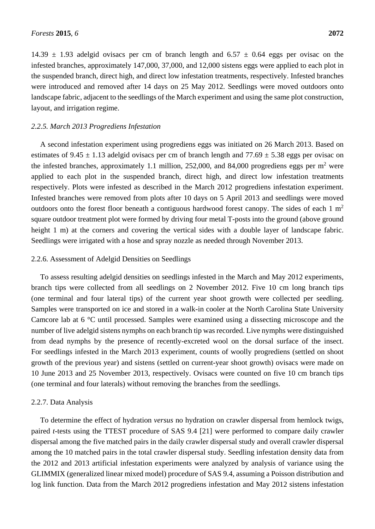14.39  $\pm$  1.93 adelgid ovisacs per cm of branch length and 6.57  $\pm$  0.64 eggs per ovisac on the infested branches, approximately 147,000, 37,000, and 12,000 sistens eggs were applied to each plot in the suspended branch, direct high, and direct low infestation treatments, respectively. Infested branches were introduced and removed after 14 days on 25 May 2012. Seedlings were moved outdoors onto landscape fabric, adjacent to the seedlings of the March experiment and using the same plot construction, layout, and irrigation regime.

#### *2.2.5. March 2013 Progrediens Infestation*

A second infestation experiment using progrediens eggs was initiated on 26 March 2013. Based on estimates of 9.45  $\pm$  1.13 adelgid ovisacs per cm of branch length and 77.69  $\pm$  5.38 eggs per ovisac on the infested branches, approximately 1.1 million, 252,000, and 84,000 progrediens eggs per  $m<sup>2</sup>$  were applied to each plot in the suspended branch, direct high, and direct low infestation treatments respectively. Plots were infested as described in the March 2012 progrediens infestation experiment. Infested branches were removed from plots after 10 days on 5 April 2013 and seedlings were moved outdoors onto the forest floor beneath a contiguous hardwood forest canopy. The sides of each  $1 \text{ m}^2$ square outdoor treatment plot were formed by driving four metal T-posts into the ground (above ground height 1 m) at the corners and covering the vertical sides with a double layer of landscape fabric. Seedlings were irrigated with a hose and spray nozzle as needed through November 2013.

#### 2.2.6. Assessment of Adelgid Densities on Seedlings

To assess resulting adelgid densities on seedlings infested in the March and May 2012 experiments, branch tips were collected from all seedlings on 2 November 2012. Five 10 cm long branch tips (one terminal and four lateral tips) of the current year shoot growth were collected per seedling. Samples were transported on ice and stored in a walk-in cooler at the North Carolina State University Camcore lab at 6 °C until processed. Samples were examined using a dissecting microscope and the number of live adelgid sistens nymphs on each branch tip was recorded. Live nymphs were distinguished from dead nymphs by the presence of recently-excreted wool on the dorsal surface of the insect. For seedlings infested in the March 2013 experiment, counts of woolly progrediens (settled on shoot growth of the previous year) and sistens (settled on current-year shoot growth) ovisacs were made on 10 June 2013 and 25 November 2013, respectively. Ovisacs were counted on five 10 cm branch tips (one terminal and four laterals) without removing the branches from the seedlings.

#### 2.2.7. Data Analysis

To determine the effect of hydration *versus* no hydration on crawler dispersal from hemlock twigs, paired *t*-tests using the TTEST procedure of SAS 9.4 [21] were performed to compare daily crawler dispersal among the five matched pairs in the daily crawler dispersal study and overall crawler dispersal among the 10 matched pairs in the total crawler dispersal study. Seedling infestation density data from the 2012 and 2013 artificial infestation experiments were analyzed by analysis of variance using the GLIMMIX (generalized linear mixed model) procedure of SAS 9.4, assuming a Poisson distribution and log link function. Data from the March 2012 progrediens infestation and May 2012 sistens infestation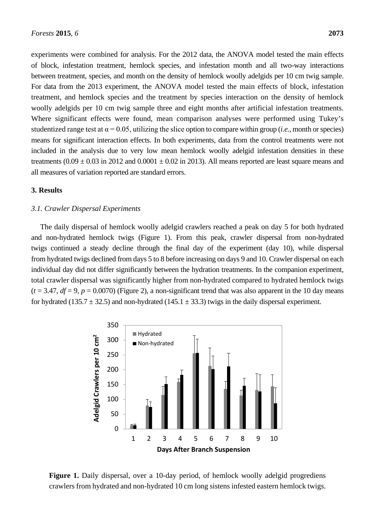experiments were combined for analysis. For the 2012 data, the ANOVA model tested the main effects of block, infestation treatment, hemlock species, and infestation month and all two-way interactions between treatment, species, and month on the density of hemlock woolly adelgids per 10 cm twig sample. For data from the 2013 experiment, the ANOVA model tested the main effects of block, infestation treatment, and hemlock species and the treatment by species interaction on the density of hemlock woolly adelgids per 10 cm twig sample three and eight months after artificial infestation treatments. Where significant effects were found, mean comparison analyses were performed using Tukey's studentized range test at  $\alpha$  = 0.05, utilizing the slice option to compare within group (*i.e.*, month or species) means for significant interaction effects. In both experiments, data from the control treatments were not included in the analysis due to very low mean hemlock woolly adelgid infestation densities in these treatments  $(0.09 \pm 0.03 \text{ in } 2012 \text{ and } 0.0001 \pm 0.02 \text{ in } 2013)$ . All means reported are least square means and all measures of variation reported are standard errors.

## **3. Results**

#### *3.1. Crawler Dispersal Experiments*

The daily dispersal of hemlock woolly adelgid crawlers reached a peak on day 5 for both hydrated and non-hydrated hemlock twigs (Figure 1). From this peak, crawler dispersal from non-hydrated twigs continued a steady decline through the final day of the experiment (day 10), while dispersal from hydrated twigs declined from days 5 to 8 before increasing on days 9 and 10. Crawler dispersal on each individual day did not differ significantly between the hydration treatments. In the companion experiment, total crawler dispersal was significantly higher from non-hydrated compared to hydrated hemlock twigs  $(t = 3.47, df = 9, p = 0.0070)$  (Figure 2), a non-significant trend that was also apparent in the 10 day means for hydrated (135.7  $\pm$  32.5) and non-hydrated (145.1  $\pm$  33.3) twigs in the daily dispersal experiment.



**Figure 1.** Daily dispersal, over a 10-day period, of hemlock woolly adelgid progrediens crawlers from hydrated and non-hydrated 10 cm long sistens infested eastern hemlock twigs.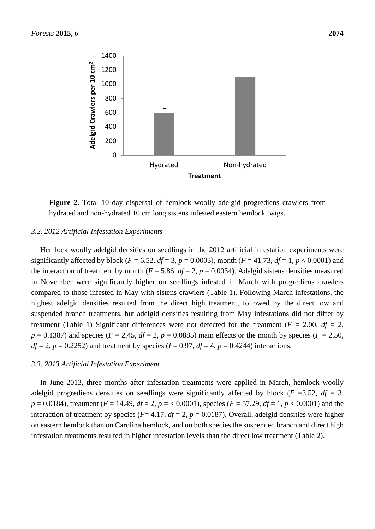

**Figure 2.** Total 10 day dispersal of hemlock woolly adelgid progrediens crawlers from hydrated and non-hydrated 10 cm long sistens infested eastern hemlock twigs.

#### *3.2. 2012 Artificial Infestation Experiments*

Hemlock woolly adelgid densities on seedlings in the 2012 artificial infestation experiments were significantly affected by block ( $F = 6.52$ ,  $df = 3$ ,  $p = 0.0003$ ), month ( $F = 41.73$ ,  $df = 1$ ,  $p < 0.0001$ ) and the interaction of treatment by month ( $F = 5.86$ ,  $df = 2$ ,  $p = 0.0034$ ). Adelgid sistens densities measured in November were significantly higher on seedlings infested in March with progrediens crawlers compared to those infested in May with sistens crawlers (Table 1). Following March infestations, the highest adelgid densities resulted from the direct high treatment, followed by the direct low and suspended branch treatments, but adelgid densities resulting from May infestations did not differ by treatment (Table 1) Significant differences were not detected for the treatment ( $F = 2.00$ ,  $df = 2$ ,  $p = 0.1387$ ) and species ( $F = 2.45$ ,  $df = 2$ ,  $p = 0.0885$ ) main effects or the month by species ( $F = 2.50$ ,  $df = 2$ ,  $p = 0.2252$ ) and treatment by species ( $F = 0.97$ ,  $df = 4$ ,  $p = 0.4244$ ) interactions.

#### *3.3. 2013 Artificial Infestation Experiment*

In June 2013, three months after infestation treatments were applied in March, hemlock woolly adelgid progrediens densities on seedlings were significantly affected by block ( $F = 3.52$ ,  $df = 3$ ,  $p = 0.0184$ , treatment ( $F = 14.49$ ,  $df = 2$ ,  $p = 0.0001$ ), species ( $F = 57.29$ ,  $df = 1$ ,  $p < 0.0001$ ) and the interaction of treatment by species ( $F = 4.17$ ,  $df = 2$ ,  $p = 0.0187$ ). Overall, adelgid densities were higher on eastern hemlock than on Carolina hemlock, and on both species the suspended branch and direct high infestation treatments resulted in higher infestation levels than the direct low treatment (Table 2).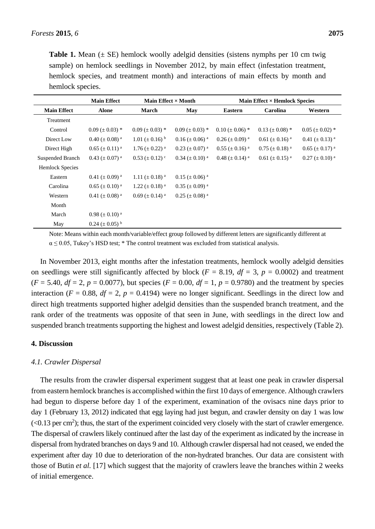**Table 1.** Mean  $(\pm \text{ SE})$  hemlock woolly adelgid densities (sistens nymphs per 10 cm twig sample) on hemlock seedlings in November 2012, by main effect (infestation treatment, hemlock species, and treatment month) and interactions of main effects by month and hemlock species.

|                        | <b>Main Effect</b>              | Main Effect $\times$ Month      |                           | <b>Main Effect × Hemlock Species</b> |                         |                         |
|------------------------|---------------------------------|---------------------------------|---------------------------|--------------------------------------|-------------------------|-------------------------|
| <b>Main Effect</b>     | <b>Alone</b>                    | <b>March</b>                    | May                       | <b>Eastern</b>                       | Carolina                | Western                 |
| Treatment              |                                 |                                 |                           |                                      |                         |                         |
| Control                | $0.09 \ (\pm 0.03)^*$           | $0.09 \ (\pm 0.03)^*$           | $0.09 \ (\pm 0.03)^*$     | $0.10 \ (\pm 0.06)^*$                | $0.13 \ (\pm 0.08)^*$   | $0.05 \ (\pm 0.02)^*$   |
| Direct Low             | $0.40 \ (\pm 0.08)^{a}$         | $1.01 \ (\pm 0.16)^{b}$         | $0.16 \ (\pm 0.06)^{a}$   | $0.26 \ (\pm 0.09)^{a}$              | $0.61 \ (\pm 0.16)^{a}$ | $0.41 \ (\pm 0.13)^{a}$ |
| Direct High            | $0.65 \ (\pm 0.11)^{a}$         | 1.76 ( $\pm$ 0.22) <sup>a</sup> | $0.23 \ (\pm 0.07)^{a}$   | $0.55 \ (\pm 0.16)^{a}$              | $0.75 \ (\pm 0.18)^{a}$ | $0.65 \ (\pm 0.17)^{a}$ |
| Suspended Branch       | $0.43 \ (\pm 0.07)^{a}$         | $0.53 \ (\pm 0.12)^{\circ}$     | $0.34 \ (\pm 0.10)^{a}$   | 0.48 ( $\pm$ 0.14) <sup>a</sup>      | $0.61 \ (\pm 0.15)^{a}$ | $0.27 \ (\pm 0.10)^{a}$ |
| <b>Hemlock Species</b> |                                 |                                 |                           |                                      |                         |                         |
| Eastern                | 0.41 ( $\pm$ 0.09) <sup>a</sup> | 1.11 ( $\pm$ 0.18) <sup>a</sup> | $0.15 \ (\pm 0.06)^{a}$   |                                      |                         |                         |
| Carolina               | $0.65 \ (\pm 0.10)^{a}$         | 1.22 ( $\pm$ 0.18) <sup>a</sup> | $0.35 \ (\pm 0.09)^{\ a}$ |                                      |                         |                         |
| Western                | $0.41 \ (\pm 0.08)^{a}$         | $0.69 \ (\pm 0.14)^{a}$         | $0.25 \ (\pm 0.08)^{a}$   |                                      |                         |                         |
| Month                  |                                 |                                 |                           |                                      |                         |                         |
| March                  | 0.98 ( $\pm$ 0.10) <sup>a</sup> |                                 |                           |                                      |                         |                         |
| May                    | $0.24 \ (\pm 0.05)^{b}$         |                                 |                           |                                      |                         |                         |

Note: Means within each month/variable/effect group followed by different letters are significantly different at  $\alpha \le 0.05$ , Tukey's HSD test; \* The control treatment was excluded from statistical analysis.

In November 2013, eight months after the infestation treatments, hemlock woolly adelgid densities on seedlings were still significantly affected by block ( $F = 8.19$ ,  $df = 3$ ,  $p = 0.0002$ ) and treatment  $(F = 5.40, df = 2, p = 0.0077)$ , but species  $(F = 0.00, df = 1, p = 0.9780)$  and the treatment by species interaction ( $F = 0.88$ ,  $df = 2$ ,  $p = 0.4194$ ) were no longer significant. Seedlings in the direct low and direct high treatments supported higher adelgid densities than the suspended branch treatment, and the rank order of the treatments was opposite of that seen in June, with seedlings in the direct low and suspended branch treatments supporting the highest and lowest adelgid densities, respectively (Table 2).

#### **4. Discussion**

#### *4.1. Crawler Dispersal*

The results from the crawler dispersal experiment suggest that at least one peak in crawler dispersal from eastern hemlock branches is accomplished within the first 10 days of emergence. Although crawlers had begun to disperse before day 1 of the experiment, examination of the ovisacs nine days prior to day 1 (February 13, 2012) indicated that egg laying had just begun, and crawler density on day 1 was low  $(< 0.13$  per cm<sup>2</sup>); thus, the start of the experiment coincided very closely with the start of crawler emergence. The dispersal of crawlers likely continued after the last day of the experiment as indicated by the increase in dispersal from hydrated branches on days 9 and 10. Although crawler dispersal had not ceased, we ended the experiment after day 10 due to deterioration of the non-hydrated branches. Our data are consistent with those of Butin *et al.* [17] which suggest that the majority of crawlers leave the branches within 2 weeks of initial emergence.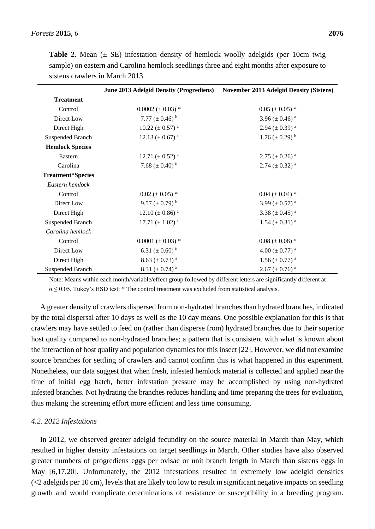|                          | June 2013 Adelgid Density (Progrediens) | <b>November 2013 Adelgid Density (Sistens)</b> |
|--------------------------|-----------------------------------------|------------------------------------------------|
| <b>Treatment</b>         |                                         |                                                |
| Control                  | $0.0002 (\pm 0.03)^*$                   | $0.05 (\pm 0.05)^*$                            |
| Direct Low               | 7.77 ( $\pm$ 0.46) <sup>b</sup>         | 3.96 ( $\pm$ 0.46) <sup>a</sup>                |
| Direct High              | $10.22 \ (\pm 0.57)^{a}$                | $2.94 \ (\pm 0.39)^{a}$                        |
| Suspended Branch         | 12.13 ( $\pm$ 0.67) <sup>a</sup>        | $1.76 \ (\pm 0.29)^{b}$                        |
| <b>Hemlock Species</b>   |                                         |                                                |
| Eastern                  | 12.71 ( $\pm$ 0.52) <sup>a</sup>        | $2.75 \ (\pm 0.26)^{a}$                        |
| Carolina                 | 7.68 $(\pm 0.40)^{b}$                   | $2.74 \ (\pm 0.32)^{a}$                        |
| <b>Treatment*Species</b> |                                         |                                                |
| Eastern hemlock          |                                         |                                                |
| Control                  | $0.02 (\pm 0.05)^*$                     | $0.04 (\pm 0.04)^*$                            |
| Direct Low               | 9.57 ( $\pm$ 0.79) <sup>b</sup>         | 3.99 ( $\pm$ 0.57) <sup>a</sup>                |
| Direct High              | 12.10 ( $\pm$ 0.86) <sup>a</sup>        | 3.38 ( $\pm$ 0.45) <sup>a</sup>                |
| Suspended Branch         | 17.71 ( $\pm$ 1.02) <sup>a</sup>        | 1.54 ( $\pm$ 0.31) <sup>a</sup>                |
| Carolina hemlock         |                                         |                                                |
| Control                  | $0.0001 (\pm 0.03)^*$                   | $0.08 (\pm 0.08)^*$                            |
| Direct Low               | 6.31 ( $\pm$ 0.60) <sup>b</sup>         | 4.00 ( $\pm$ 0.77) <sup>a</sup>                |
| Direct High              | 8.63 ( $\pm$ 0.73) <sup>a</sup>         | $1.56 \ (\pm 0.77)^{a}$                        |
| Suspended Branch         | 8.31 ( $\pm$ 0.74) <sup>a</sup>         | $2.67 \ (\pm 0.76)^{a}$                        |

**Table 2.** Mean  $(\pm \text{ SE})$  infestation density of hemlock woolly adelgids (per 10cm twig sample) on eastern and Carolina hemlock seedlings three and eight months after exposure to sistens crawlers in March 2013.

Note: Means within each month/variable/effect group followed by different letters are significantly different at  $\alpha \leq 0.05$ , Tukey's HSD test; \* The control treatment was excluded from statistical analysis.

A greater density of crawlers dispersed from non-hydrated branches than hydrated branches, indicated by the total dispersal after 10 days as well as the 10 day means. One possible explanation for this is that crawlers may have settled to feed on (rather than disperse from) hydrated branches due to their superior host quality compared to non-hydrated branches; a pattern that is consistent with what is known about the interaction of host quality and population dynamics for this insect [22]. However, we did not examine source branches for settling of crawlers and cannot confirm this is what happened in this experiment. Nonetheless, our data suggest that when fresh, infested hemlock material is collected and applied near the time of initial egg hatch, better infestation pressure may be accomplished by using non-hydrated infested branches. Not hydrating the branches reduces handling and time preparing the trees for evaluation, thus making the screening effort more efficient and less time consuming.

### *4.2. 2012 Infestations*

In 2012, we observed greater adelgid fecundity on the source material in March than May, which resulted in higher density infestations on target seedlings in March. Other studies have also observed greater numbers of progrediens eggs per ovisac or unit branch length in March than sistens eggs in May [6,17,20]. Unfortunately, the 2012 infestations resulted in extremely low adelgid densities (<2 adelgids per 10 cm), levels that are likely too low to result in significant negative impacts on seedling growth and would complicate determinations of resistance or susceptibility in a breeding program.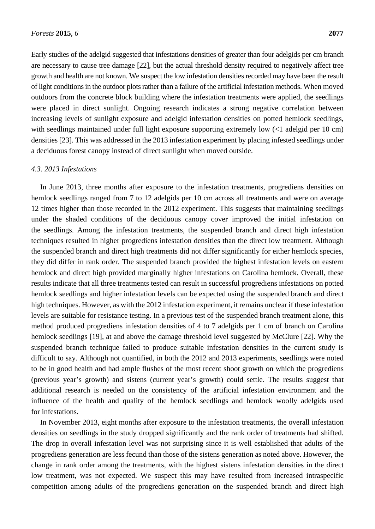Early studies of the adelgid suggested that infestations densities of greater than four adelgids per cm branch are necessary to cause tree damage [22], but the actual threshold density required to negatively affect tree growth and health are not known. We suspect the low infestation densities recorded may have been the result of light conditions in the outdoor plots rather than a failure of the artificial infestation methods. When moved outdoors from the concrete block building where the infestation treatments were applied, the seedlings were placed in direct sunlight. Ongoing research indicates a strong negative correlation between increasing levels of sunlight exposure and adelgid infestation densities on potted hemlock seedlings, with seedlings maintained under full light exposure supporting extremely low  $\ll 1$  adelgid per 10 cm) densities [23]. This was addressed in the 2013 infestation experiment by placing infested seedlings under a deciduous forest canopy instead of direct sunlight when moved outside.

#### *4.3. 2013 Infestations*

In June 2013, three months after exposure to the infestation treatments, progrediens densities on hemlock seedlings ranged from 7 to 12 adelgids per 10 cm across all treatments and were on average 12 times higher than those recorded in the 2012 experiment. This suggests that maintaining seedlings under the shaded conditions of the deciduous canopy cover improved the initial infestation on the seedlings. Among the infestation treatments, the suspended branch and direct high infestation techniques resulted in higher progrediens infestation densities than the direct low treatment. Although the suspended branch and direct high treatments did not differ significantly for either hemlock species, they did differ in rank order. The suspended branch provided the highest infestation levels on eastern hemlock and direct high provided marginally higher infestations on Carolina hemlock. Overall, these results indicate that all three treatments tested can result in successful progrediens infestations on potted hemlock seedlings and higher infestation levels can be expected using the suspended branch and direct high techniques. However, as with the 2012 infestation experiment, it remains unclear if these infestation levels are suitable for resistance testing. In a previous test of the suspended branch treatment alone, this method produced progrediens infestation densities of 4 to 7 adelgids per 1 cm of branch on Carolina hemlock seedlings [19], at and above the damage threshold level suggested by McClure [22]. Why the suspended branch technique failed to produce suitable infestation densities in the current study is difficult to say. Although not quantified, in both the 2012 and 2013 experiments, seedlings were noted to be in good health and had ample flushes of the most recent shoot growth on which the progrediens (previous year's growth) and sistens (current year's growth) could settle. The results suggest that additional research is needed on the consistency of the artificial infestation environment and the influence of the health and quality of the hemlock seedlings and hemlock woolly adelgids used for infestations.

In November 2013, eight months after exposure to the infestation treatments, the overall infestation densities on seedlings in the study dropped significantly and the rank order of treatments had shifted. The drop in overall infestation level was not surprising since it is well established that adults of the progrediens generation are less fecund than those of the sistens generation as noted above. However, the change in rank order among the treatments, with the highest sistens infestation densities in the direct low treatment, was not expected. We suspect this may have resulted from increased intraspecific competition among adults of the progrediens generation on the suspended branch and direct high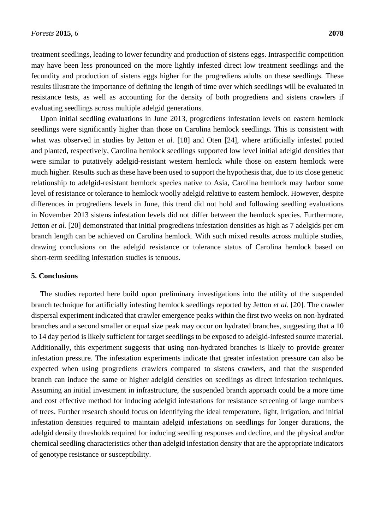treatment seedlings, leading to lower fecundity and production of sistens eggs. Intraspecific competition may have been less pronounced on the more lightly infested direct low treatment seedlings and the fecundity and production of sistens eggs higher for the progrediens adults on these seedlings. These results illustrate the importance of defining the length of time over which seedlings will be evaluated in resistance tests, as well as accounting for the density of both progrediens and sistens crawlers if evaluating seedlings across multiple adelgid generations.

Upon initial seedling evaluations in June 2013, progrediens infestation levels on eastern hemlock seedlings were significantly higher than those on Carolina hemlock seedlings. This is consistent with what was observed in studies by Jetton *et al.* [18] and Oten [24], where artificially infested potted and planted, respectively, Carolina hemlock seedlings supported low level initial adelgid densities that were similar to putatively adelgid-resistant western hemlock while those on eastern hemlock were much higher. Results such as these have been used to support the hypothesis that, due to its close genetic relationship to adelgid-resistant hemlock species native to Asia, Carolina hemlock may harbor some level of resistance or tolerance to hemlock woolly adelgid relative to eastern hemlock. However, despite differences in progrediens levels in June, this trend did not hold and following seedling evaluations in November 2013 sistens infestation levels did not differ between the hemlock species. Furthermore, Jetton *et al.* [20] demonstrated that initial progrediens infestation densities as high as 7 adelgids per cm branch length can be achieved on Carolina hemlock. With such mixed results across multiple studies, drawing conclusions on the adelgid resistance or tolerance status of Carolina hemlock based on short-term seedling infestation studies is tenuous.

#### **5. Conclusions**

The studies reported here build upon preliminary investigations into the utility of the suspended branch technique for artificially infesting hemlock seedlings reported by Jetton *et al.* [20]. The crawler dispersal experiment indicated that crawler emergence peaks within the first two weeks on non-hydrated branches and a second smaller or equal size peak may occur on hydrated branches, suggesting that a 10 to 14 day period is likely sufficient for target seedlings to be exposed to adelgid-infested source material. Additionally, this experiment suggests that using non-hydrated branches is likely to provide greater infestation pressure. The infestation experiments indicate that greater infestation pressure can also be expected when using progrediens crawlers compared to sistens crawlers, and that the suspended branch can induce the same or higher adelgid densities on seedlings as direct infestation techniques. Assuming an initial investment in infrastructure, the suspended branch approach could be a more time and cost effective method for inducing adelgid infestations for resistance screening of large numbers of trees. Further research should focus on identifying the ideal temperature, light, irrigation, and initial infestation densities required to maintain adelgid infestations on seedlings for longer durations, the adelgid density thresholds required for inducing seedling responses and decline, and the physical and/or chemical seedling characteristics other than adelgid infestation density that are the appropriate indicators of genotype resistance or susceptibility.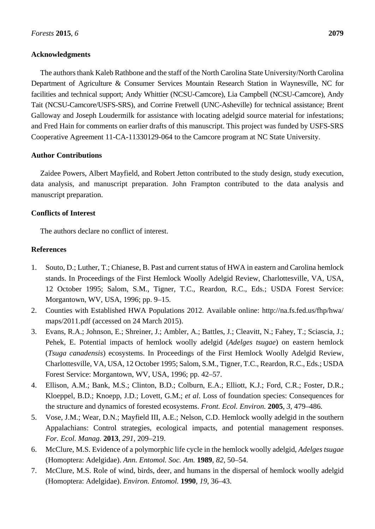### **Acknowledgments**

The authors thank Kaleb Rathbone and the staff of the North Carolina State University/North Carolina Department of Agriculture & Consumer Services Mountain Research Station in Waynesville, NC for facilities and technical support; Andy Whittier (NCSU-Camcore), Lia Campbell (NCSU-Camcore), Andy Tait (NCSU-Camcore/USFS-SRS), and Corrine Fretwell (UNC-Asheville) for technical assistance; Brent Galloway and Joseph Loudermilk for assistance with locating adelgid source material for infestations; and Fred Hain for comments on earlier drafts of this manuscript. This project was funded by USFS-SRS Cooperative Agreement 11-CA-11330129-064 to the Camcore program at NC State University.

#### **Author Contributions**

Zaidee Powers, Albert Mayfield, and Robert Jetton contributed to the study design, study execution, data analysis, and manuscript preparation. John Frampton contributed to the data analysis and manuscript preparation.

#### **Conflicts of Interest**

The authors declare no conflict of interest.

#### **References**

- 1. Souto, D.; Luther, T.; Chianese, B. Past and current status of HWA in eastern and Carolina hemlock stands. In Proceedings of the First Hemlock Woolly Adelgid Review, Charlottesville, VA, USA, 12 October 1995; Salom, S.M., Tigner, T.C., Reardon, R.C., Eds.; USDA Forest Service: Morgantown, WV, USA, 1996; pp. 9–15.
- 2. Counties with Established HWA Populations 2012. Available online: http://na.fs.fed.us/fhp/hwa/ maps/2011.pdf (accessed on 24 March 2015).
- 3. Evans, R.A.; Johnson, E.; Shreiner, J.; Ambler, A.; Battles, J.; Cleavitt, N.; Fahey, T.; Sciascia, J.; Pehek, E. Potential impacts of hemlock woolly adelgid (*Adelges tsugae*) on eastern hemlock (*Tsuga canadensis*) ecosystems. In Proceedings of the First Hemlock Woolly Adelgid Review, Charlottesville, VA, USA, 12 October 1995; Salom, S.M., Tigner, T.C., Reardon, R.C., Eds.; USDA Forest Service: Morgantown, WV, USA, 1996; pp. 42–57.
- 4. Ellison, A.M.; Bank, M.S.; Clinton, B.D.; Colburn, E.A.; Elliott, K.J.; Ford, C.R.; Foster, D.R.; Kloeppel, B.D.; Knoepp, J.D.; Lovett, G.M.; *et al*. Loss of foundation species: Consequences for the structure and dynamics of forested ecosystems. *Front. Ecol. Environ.* **2005**, *3*, 479–486.
- 5. Vose, J.M.; Wear, D.N.; Mayfield III, A.E.; Nelson, C.D. Hemlock woolly adelgid in the southern Appalachians: Control strategies, ecological impacts, and potential management responses. *For. Ecol. Manag.* **2013**, *291*, 209–219.
- 6. McClure, M.S. Evidence of a polymorphic life cycle in the hemlock woolly adelgid, *Adelges tsugae* (Homoptera: Adelgidae). *Ann. Entomol. Soc. Am.* **1989**, *82*, 50–54.
- 7. McClure, M.S. Role of wind, birds, deer, and humans in the dispersal of hemlock woolly adelgid (Homoptera: Adelgidae). *Environ. Entomol.* **1990**, *19*, 36–43.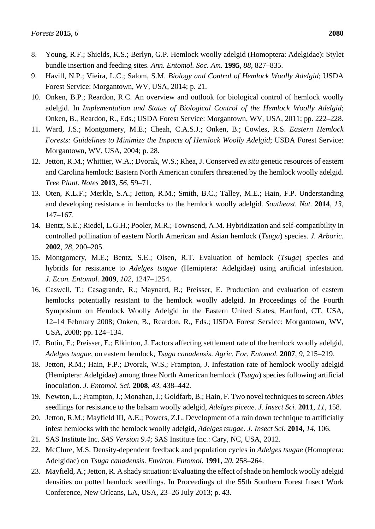- 8. Young, R.F.; Shields, K.S.; Berlyn, G.P. Hemlock woolly adelgid (Homoptera: Adelgidae): Stylet bundle insertion and feeding sites. *Ann. Entomol. Soc. Am.* **1995**, *88*, 827–835.
- 9. Havill, N.P.; Vieira, L.C.; Salom, S.M. *Biology and Control of Hemlock Woolly Adelgid*; USDA Forest Service: Morgantown, WV, USA, 2014; p. 21.
- 10. Onken, B.P.; Reardon, R.C. An overview and outlook for biological control of hemlock woolly adelgid. In *Implementation and Status of Biological Control of the Hemlock Woolly Adelgid*; Onken, B., Reardon, R., Eds.; USDA Forest Service: Morgantown, WV, USA, 2011; pp. 222–228.
- 11. Ward, J.S.; Montgomery, M.E.; Cheah, C.A.S.J.; Onken, B.; Cowles, R.S. *Eastern Hemlock Forests: Guidelines to Minimize the Impacts of Hemlock Woolly Adelgid*; USDA Forest Service: Morgantown, WV, USA, 2004; p. 28.
- 12. Jetton, R.M.; Whittier, W.A.; Dvorak, W.S.; Rhea, J. Conserved *ex situ* genetic resources of eastern and Carolina hemlock: Eastern North American conifers threatened by the hemlock woolly adelgid. *Tree Plant. Notes* **2013**, *56*, 59–71.
- 13. Oten, K.L.F.; Merkle, S.A.; Jetton, R.M.; Smith, B.C.; Talley, M.E.; Hain, F.P. Understanding and developing resistance in hemlocks to the hemlock woolly adelgid. *Southeast. Nat.* **2014**, *13*, 147–167.
- 14. Bentz, S.E.; Riedel, L.G.H.; Pooler, M.R.; Townsend, A.M. Hybridization and self-compatibility in controlled pollination of eastern North American and Asian hemlock (*Tsuga*) species. *J. Arboric.* **2002**, *28*, 200–205.
- 15. Montgomery, M.E.; Bentz, S.E.; Olsen, R.T. Evaluation of hemlock (*Tsuga*) species and hybrids for resistance to *Adelges tsugae* (Hemiptera: Adelgidae) using artificial infestation. *J. Econ. Entomol.* **2009**, *102*, 1247–1254.
- 16. Caswell, T.; Casagrande, R.; Maynard, B.; Preisser, E. Production and evaluation of eastern hemlocks potentially resistant to the hemlock woolly adelgid. In Proceedings of the Fourth Symposium on Hemlock Woolly Adelgid in the Eastern United States, Hartford, CT, USA, 12–14 February 2008; Onken, B., Reardon, R., Eds.; USDA Forest Service: Morgantown, WV, USA, 2008; pp. 124–134.
- 17. Butin, E.; Preisser, E.; Elkinton, J. Factors affecting settlement rate of the hemlock woolly adelgid, *Adelges tsugae*, on eastern hemlock, *Tsuga canadensis*. *Agric. For. Entomol.* **2007**, *9*, 215–219.
- 18. Jetton, R.M.; Hain, F.P.; Dvorak, W.S.; Frampton, J. Infestation rate of hemlock woolly adelgid (Hemiptera: Adelgidae) among three North American hemlock (*Tsuga*) species following artificial inoculation. *J. Entomol. Sci.* **2008**, *43*, 438–442.
- 19. Newton, L.; Frampton, J.; Monahan, J.; Goldfarb, B.; Hain, F. Two novel techniques to screen *Abies* seedlings for resistance to the balsam woolly adelgid, *Adelges piceae*. *J. Insect Sci.* **2011**, *11*, 158.
- 20. Jetton, R.M.; Mayfield III, A.E.; Powers, Z.L. Development of a rain down technique to artificially infest hemlocks with the hemlock woolly adelgid, *Adelges tsugae*. *J. Insect Sci.* **2014**, *14*, 106.
- 21. SAS Institute Inc. *SAS Version 9.4*; SAS Institute Inc.: Cary, NC, USA, 2012.
- 22. McClure, M.S. Density-dependent feedback and population cycles in *Adelges tsugae* (Homoptera: Adelgidae) on *Tsuga canadensis*. *Environ. Entomol.* **1991**, *20*, 258–264.
- 23. Mayfield, A.; Jetton, R. A shady situation: Evaluating the effect of shade on hemlock woolly adelgid densities on potted hemlock seedlings. In Proceedings of the 55th Southern Forest Insect Work Conference, New Orleans, LA, USA, 23–26 July 2013; p. 43.